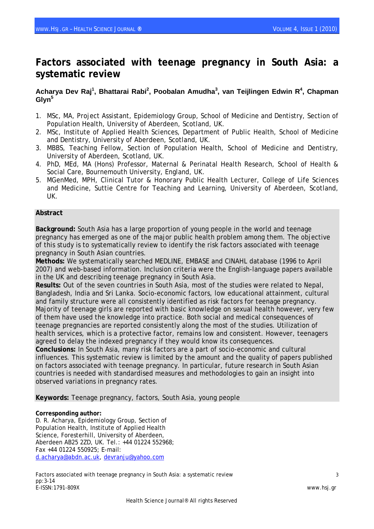# **Factors associated with teenage pregnancy in South Asia: a systematic review**

## **Acharya Dev Raj<sup>1</sup> , Bhattarai Rabi<sup>2</sup> , Poobalan Amudha3 , van Teijlingen Edwin R4 , Chapman Glyn<sup>5</sup>**

- 1. MSc, MA, Project Assistant, Epidemiology Group, School of Medicine and Dentistry, Section of Population Health, University of Aberdeen, Scotland, UK.
- 2. MSc, Institute of Applied Health Sciences, Department of Public Health, School of Medicine and Dentistry, University of Aberdeen, Scotland, UK.
- 3. MBBS, Teaching Fellow, Section of Population Health, School of Medicine and Dentistry, University of Aberdeen, Scotland, UK.
- 4. PhD, MEd, MA (Hons) Professor, Maternal & Perinatal Health Research, School of Health & Social Care, Bournemouth University, England, UK.
- 5. MGenMed, MPH, Clinical Tutor & Honorary Public Health Lecturer, College of Life Sciences and Medicine, Suttie Centre for Teaching and Learning, University of Aberdeen, Scotland, UK.

### **Abstract**

**Background:** South Asia has a large proportion of young people in the world and teenage pregnancy has emerged as one of the major public health problem among them. The objective of this study is to systematically review to identify the risk factors associated with teenage pregnancy in South Asian countries.

**Methods:** We systematically searched MEDLINE, EMBASE and CINAHL database (1996 to April 2007) and web-based information. Inclusion criteria were the English-language papers available in the UK and describing teenage pregnancy in South Asia.

**Results:** Out of the seven countries in South Asia, most of the studies were related to Nepal, Bangladesh, India and Sri Lanka. Socio-economic factors, low educational attainment, cultural and family structure were all consistently identified as risk factors for teenage pregnancy. Majority of teenage girls are reported with basic knowledge on sexual health however, very few of them have used the knowledge into practice. Both social and medical consequences of teenage pregnancies are reported consistently along the most of the studies. Utilization of health services, which is a protective factor, remains low and consistent. However, teenagers agreed to delay the indexed pregnancy if they would know its consequences.

**Conclusions:** In South Asia, many risk factors are a part of socio-economic and cultural influences. This systematic review is limited by the amount and the quality of papers published on factors associated with teenage pregnancy. In particular, future research in South Asian countries is needed with standardised measures and methodologies to gain an insight into observed variations in pregnancy rates.

**Keywords:** Teenage pregnancy, factors, South Asia, young people

#### **Corresponding author:**

D. R. Acharya, Epidemiology Group, Section of Population Health, Institute of Applied Health Science, Foresterhill, University of Aberdeen, Aberdeen AB25 2ZD, UK. Tel.: +44 01224 552968; Fax +44 01224 550925; E-mail: [d.acharya@abdn.ac.uk,](mailto:d.acharya@abdn.ac.uk) [devranju@yahoo.com](mailto:devranju@yahoo.com)

Factors associated with teenage pregnancy in South Asia: a systematic review 3 pp:3-14 E-ISSN:1791-809X www.hsj.gr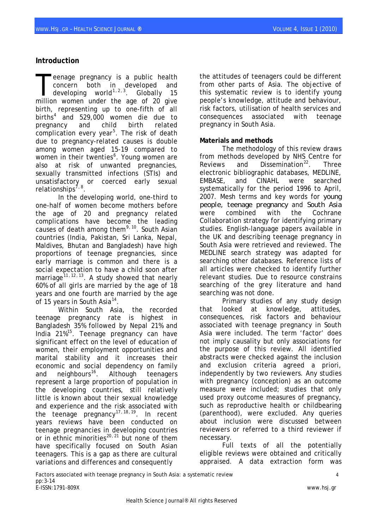## **Introduction**

eenage pregnancy is a public health concern both in developed and developing world<sup>[1](#page-11-0)[,](#page-11-1)[2](#page-11-1),[3](#page-11-1)</sup>. Globally 15 eenage pregnancy is a public health<br>concern both in developed and<br>developing world<sup>1,2,3</sup>. Globally 15<br>million women under the age of 20 give birth, representing up to one-fifth of all births[4](#page-11-1) and 529,000 women die due to pregnancy and child birth related .<br>complication every year<sup>[5](#page-11-1)</sup>. The risk of death due to pregnancy-related causes is double among women aged 15-19 compared to women in their twenties<sup>[6](#page-11-1)</sup>. Young women are also at risk of unwanted pregnancies, sexually transmitted infections (STIs) and unsatisfactory or coerced early sexual relationships<sup>[7](#page-11-1)[,](#page-11-1)[8](#page-11-1)</sup>.

In the developing world, one-third to one-half of women become mothers before the age of 20 and pregnancy related complications have become the leading causes of death among them<sup>[9](#page-11-1)[,](#page-11-1) [10](#page-11-1)</sup>. South Asian countries (India, Pakistan, Sri Lanka, Nepal, Maldives, Bhutan and Bangladesh) have high proportions of teenage pregnancies, since early marriage is common and there is a social expectation to have a child soon after marriage<sup>[11](#page-11-1)[,](#page-11-1) [12](#page-11-1), [13](#page-11-1)</sup>. A study showed that nearly 60% of all girls are married by the age of 18 years and one fourth are married by the age of 15 years in South Asia<sup>[14](#page-11-1)</sup>.

Within South Asia, the recorded teenage pregnancy rate is highest in Bangladesh 35% followed by Nepal 21% and India  $21\%^{15}$  $21\%^{15}$  $21\%^{15}$ . Teenage pregnancy can have significant effect on the level of education of women, their employment opportunities and marital stability and it increases their economic and social dependency on family and neighbours<sup>[16](#page-11-1)</sup>. Although teenagers represent a large proportion of population in the developing countries, still relatively little is known about their sexual knowledge and experience and the risk associated with the teenage pregnancy<sup>[17](#page-11-1)[,](#page-11-1) [18](#page-11-1), [19](#page-11-1)</sup>. In recent years reviews have been conducted on teenage pregnancies in developing countries or in ethnic minorities $20, 21$  $20, 21$  $20, 21$  $20, 21$  but none of them have specifically focused on South Asian teenagers. This is a gap as there are cultural variations and differences and consequently

the attitudes of teenagers could be different from other parts of Asia. The objective of this systematic review is to identify young people's knowledge, attitude and behaviour, risk factors, utilisation of health services and consequences associated with teenage pregnancy in South Asia.

## **Materials and methods**

The methodology of this review draws from methods developed by NHS Centre for Reviews and Dissemination $^{22}$  $^{22}$  $^{22}$ . Three electronic bibliographic databases, MEDLINE, EMBASE, and CINAHL were searched systematically for the period 1996 to April, 2007. Mesh terms and key words for *young people, teenage pregnancy* and *South Asia* were combined with the Cochrane Collaboration strategy for identifying primary studies. English-language papers available in the UK and describing teenage pregnancy in South Asia were retrieved and reviewed. The MEDLINE search strategy was adapted for searching other databases. Reference lists of all articles were checked to identify further relevant studies. Due to resource constrains searching of the grey literature and hand searching was not done.

Primary studies of any study design that looked at knowledge, attitudes, consequences, risk factors and behaviour associated with teenage pregnancy in South Asia were included. The term 'factor' does not imply causality but only associations for the purpose of this review. All identified abstracts were checked against the inclusion and exclusion criteria agreed a priori, independently by two reviewers. Any studies with pregnancy (conception) as an outcome measure were included; studies that only used proxy outcome measures of pregnancy, such as reproductive health or childbearing (parenthood), were excluded. Any queries about inclusion were discussed between reviewers or referred to a third reviewer if necessary.

Full texts of all the potentially eligible reviews were obtained and critically appraised. A data extraction form was

Factors associated with teenage pregnancy in South Asia: a systematic review 4 pp:3-14 E-ISSN:1791-809X www.hsj.gr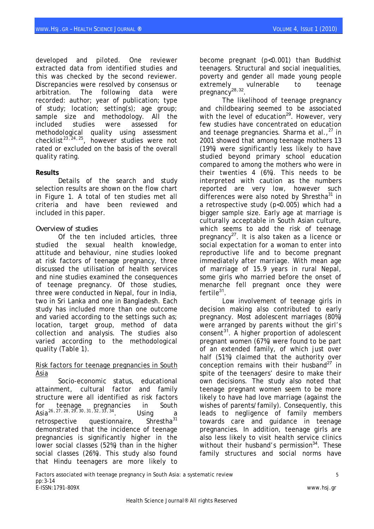developed and piloted. One reviewer extracted data from identified studies and this was checked by the second reviewer. Discrepancies were resolved by consensus or arbitration. The following data were recorded: author; year of publication; type of study; location; setting(s); age group; sample size and methodology. All the included studies were assessed for methodological quality using assessment checklist<sup>[23](#page-11-1)[,](#page-11-1) [24](#page-11-1), [25](#page-11-1)</sup>. however studies were not rated or excluded on the basis of the overall quality rating.

### **Results**

Details of the search and study selection results are shown on the flow chart in Figure 1. A total of ten studies met all criteria and have been reviewed and included in this paper.

#### *Overview of studies*

Of the ten included articles, three studied the sexual health knowledge, attitude and behaviour, nine studies looked at risk factors of teenage pregnancy, three discussed the utilisation of health services and nine studies examined the consequences of teenage pregnancy. Of those studies, three were conducted in Nepal, four in India, two in Sri Lanka and one in Bangladesh. Each study has included more than one outcome and varied according to the settings such as; location, target group, method of data collection and analysis. The studies also varied according to the methodological quality (Table 1).

### Risk factors for teenage pregnancies in South Asia

<span id="page-2-0"></span>Socio-economic status, educational attainment, cultural factor and family structure were all identified as risk factors for teenage pregnancies in South Asia $^{26, 27, 28, 29, 30, 31, 32, 33, 34}$  $^{26, 27, 28, 29, 30, 31, 32, 33, 34}$  $^{26, 27, 28, 29, 30, 31, 32, 33, 34}$  $^{26, 27, 28, 29, 30, 31, 32, 33, 34}$  $^{26, 27, 28, 29, 30, 31, 32, 33, 34}$  $^{26, 27, 28, 29, 30, 31, 32, 33, 34}$  $^{26, 27, 28, 29, 30, 31, 32, 33, 34}$  $^{26, 27, 28, 29, 30, 31, 32, 33, 34}$  $^{26, 27, 28, 29, 30, 31, 32, 33, 34}$  $^{26, 27, 28, 29, 30, 31, 32, 33, 34}$  $^{26, 27, 28, 29, 30, 31, 32, 33, 34}$  $^{26, 27, 28, 29, 30, 31, 32, 33, 34}$  $^{26, 27, 28, 29, 30, 31, 32, 33, 34}$  $^{26, 27, 28, 29, 30, 31, 32, 33, 34}$  $^{26, 27, 28, 29, 30, 31, 32, 33, 34}$  $^{26, 27, 28, 29, 30, 31, 32, 33, 34}$  $^{26, 27, 28, 29, 30, 31, 32, 33, 34}$  $^{26, 27, 28, 29, 30, 31, 32, 33, 34}$  $^{26, 27, 28, 29, 30, 31, 32, 33, 34}$  $^{26, 27, 28, 29, 30, 31, 32, 33, 34}$ . Using a retrospective questionnaire, Shrestha<sup>31</sup> demonstrated that the incidence of teenage pregnancies is significantly higher in the lower social classes (52%) than in the higher social classes (26%). This study also found that Hindu teenagers are more likely to

become pregnant (p<0.001) than Buddhist teenagers. Structural and social inequalities, poverty and gender all made young people extremely vulnerable to teenage pregnancy<sup>[28](#page-2-0)[,](#page-11-1)[32](#page-2-0)</sup>.

The likelihood of teenage pregnancy and childbearing seemed to be associated with the level of education<sup>[29](#page-2-0)</sup>. However, very few studies have concentrated on education and teenage pregnancies. Sharma et al., $^{27}$  in 2001 showed that among teenage mothers 13 (19%) were significantly less likely to have studied beyond primary school education compared to among the mothers who were in their twenties 4 (6%). This needs to be interpreted with caution as the numbers reported are very low, however such differences were also noted by Shrestha $31$  in a retrospective study (p<0.005) which had a bigger sample size. Early age at marriage is culturally acceptable in South Asian culture, which seems to add the risk of teenage pregnancy<sup>[27](#page-2-0)</sup>. It is also taken as a licence or social expectation for a woman to enter into reproductive life and to become pregnant immediately after marriage. With mean age of marriage of 15.9 years in rural Nepal, some girls who married before the onset of menarche fell pregnant once they were  $fertile<sup>31</sup>$  $fertile<sup>31</sup>$  $fertile<sup>31</sup>$ .

Low involvement of teenage girls in decision making also contributed to early pregnancy. Most adolescent marriages (80%) were arranged by parents without the girl's consent<sup>[31](#page-2-0)</sup>. A higher proportion of adolescent pregnant women (67%) were found to be part of an extended family, of which just over half (51%) claimed that the authority over conception remains with their husband<sup>[27](#page-2-0)</sup> in spite of the teenagers' desire to make their own decisions. The study also noted that teenage pregnant women seem to be more likely to have had love marriage (against the wishes of parents/family). Consequently, this leads to negligence of family members towards care and guidance in teenage pregnancies. In addition, teenage girls are also less likely to visit health service clinics without their husband's permission<sup>[34](#page-2-0)</sup>. These family structures and social norms have

Factors associated with teenage pregnancy in South Asia: a systematic review 5 pp:3-14 E-ISSN:1791-809X www.hsj.gr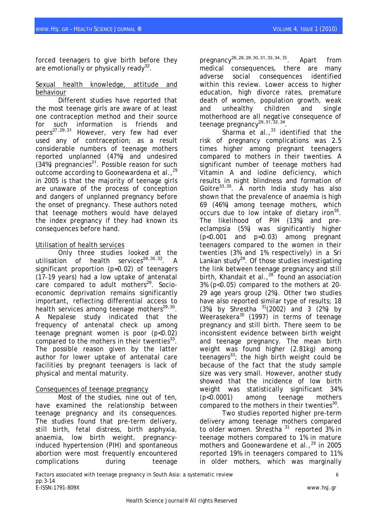<span id="page-3-0"></span>forced teenagers to give birth before they are emotionally or physically ready<sup>[32](#page-2-0)</sup>.

### Sexual health knowledge, attitude and behaviour

Different studies have reported that the most teenage girls are aware of at least one contraception method and their source for such information is friends and peers<sup>[27](#page-2-0)[,](#page-11-1)[29](#page-2-0),[31](#page-2-0)</sup> However, very few had ever used any of contraception; as a result considerable numbers of teenage mothers reported unplanned (47%) and undesired  $(34%)$  pregnancies<sup>[31](#page-2-0)</sup>. Possible reason for such outcome according to Goonewardena et al.,<sup>29</sup> in 2005 is that the majority of teenage girls are unaware of the process of conception and dangers of unplanned pregnancy before the onset of pregnancy. These authors noted that teenage mothers would have delayed the index pregnancy if they had known its consequences before hand.

## Utilisation of health services

Only three studies looked at the utilisation of health services $29,30,33$  $29,30,33$  $29,30,33$  $29,30,33$  $29,30,33$ . A significant proportion (p=0.02) of teenagers (17-19 years) had a low uptake of antenatal care compared to adult mothers<sup>[29](#page-2-0)</sup>. Socioeconomic deprivation remains significantly important, reflecting differential access to health services among teenage mothers $29,30$  $29,30$  $29,30$ . A Nepalese study indicated that the frequency of antenatal check up among teenage pregnant women is poor (p<0.02) compared to the mothers in their twenties $^{33}$  $^{33}$  $^{33}$ . The possible reason given by the latter author for lower uptake of antenatal care facilities by pregnant teenagers is lack of physical and mental maturity.

## Consequences of teenage pregnancy

Most of the studies, nine out of ten, have examined the relationship between teenage pregnancy and its consequences. The studies found that pre-term delivery, still birth, fetal distress, birth asphyxia, anaemia, low birth weight, pregnancyinduced hypertension (PIH) and spontaneous abortion were most frequently encountered complications during teenage pregnancy[26](#page-2-0)[,](#page-11-1)[28](#page-2-0)[,](#page-11-1)[29](#page-2-0)[,](#page-11-1)[30](#page-2-0)[,](#page-11-1)[31](#page-2-0)[,](#page-11-1)[33](#page-2-0)[,](#page-11-1)[34](#page-2-0)[,](#page-11-1) [35](#page-11-1). Apart from medical consequences, there are many adverse social consequences identified within this review. Lower access to higher education, high divorce rates, premature death of women, population growth, weak and unhealthy children and single motherhood are all negative consequence of teenage pregnancy<sup>[29](#page-2-0)[,](#page-11-1)[31](#page-2-0),[32](#page-2-0),[34](#page-2-0)</sup>.

Sharma et al., $33$  identified that the risk of pregnancy complications was 2.5 times higher among pregnant teenagers compared to mothers in their twenties. A significant number of teenage mothers had Vitamin A and iodine deficiency, which results in night blindness and formation of Goitre $^{33,35}$  $^{33,35}$  $^{33,35}$  $^{33,35}$  $^{33,35}$ . A north India study has also shown that the prevalence of anaemia is high 69 (46%) among teenage mothers, which occurs due to low intake of dietary iron<sup>[35](#page-3-0)</sup>. The likelihood of PIH (13%) and preeclampsia (5%) was significantly higher (p<0.001 and p=0.03) among pregnant teenagers compared to the women in their twenties (3% and 1% respectively) in a Sri Lankan study<sup>[29](#page-2-0)</sup>. Of those studies investigating the link between teenage pregnancy and still birth, Khandait et al., $^{28}$  found an association 3% (p<0.05) compared to the mothers at 20- 29 age years group (2%). Other two studies have also reported similar type of results; 18 (3%) by Shrestha  $31(2002)$  and 3 (2%) by Weerasekera<sup>30</sup> (1997) in terms of teenage pregnancy and still birth. There seem to be inconsistent evidence between birth weight and teenage pregnancy. The mean birth weight was found higher (2.81kg) among  $teenaqers<sup>33</sup>$  $teenaqers<sup>33</sup>$  $teenaqers<sup>33</sup>$ ; the high birth weight could be because of the fact that the study sample size was very small. However, another study showed that the incidence of low birth weight was statistically significant 34% (p<0.0001) among teenage mothers compared to the mothers in their twenties<sup>[30](#page-2-0)</sup>.

Two studies reported higher pre-term delivery among teenage mothers compared to older women. Shrestha <sup>31</sup> reported 3% in teenage mothers compared to 1% in mature mothers and Goonewardene et al., $^{29}$  in 2005 reported 19% in teenagers compared to 11% in older mothers, which was marginally

Factors associated with teenage pregnancy in South Asia: a systematic review 6 pp:3-14 E-ISSN:1791-809X www.hsj.gr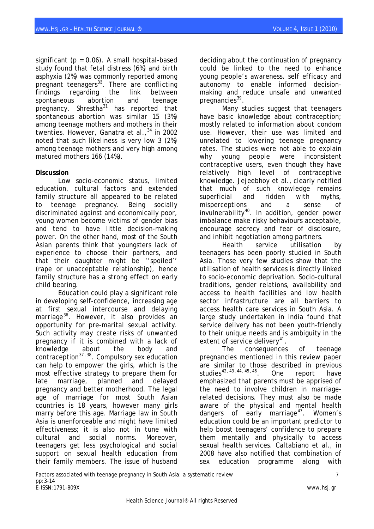significant ( $p = 0.06$ ). A small hospital-based study found that fetal distress (6%) and birth asphyxia (2%) was commonly reported among pregnant teenagers<sup>[33](#page-2-0)</sup>. There are conflicting findings regarding the link between spontaneous abortion and teenage pregnancy. Shrestha<sup>31</sup> has reported that spontaneous abortion was similar 15 (3%) among teenage mothers and mothers in their twenties. However, Ganatra et al., $34$  in 2002 noted that such likeliness is very low 3 (2%) among teenage mothers and very high among matured mothers 166 (14%).

### **Discussion**

Low socio-economic status, limited education, cultural factors and extended family structure all appeared to be related to teenage pregnancy. Being socially discriminated against and economically poor, young women become victims of gender bias and tend to have little decision-making power. On the other hand, most of the South Asian parents think that youngsters lack of experience to choose their partners, and that their daughter might be ''spoiled'' (rape or unacceptable relationship), hence family structure has a strong effect on early child bearing.

Education could play a significant role in developing self-confidence, increasing age at first sexual intercourse and delaying marriage<sup>[36](#page-11-1)</sup>. However, it also provides an opportunity for pre-marital sexual activity. Such activity may create risks of unwanted pregnancy if it is combined with a lack of knowledge about the body and  $contraception<sup>37, 38</sup>$  $contraception<sup>37, 38</sup>$  $contraception<sup>37, 38</sup>$  $contraception<sup>37, 38</sup>$  $contraception<sup>37, 38</sup>$  $contraception<sup>37, 38</sup>$ . Compulsory sex education can help to empower the girls, which is the most effective strategy to prepare them for late marriage, planned and delayed pregnancy and better motherhood. The legal age of marriage for most South Asian countries is 18 years, however many girls marry before this age. Marriage law in South Asia is unenforceable and might have limited effectiveness; it is also not in tune with cultural and social norms. Moreover, teenagers get less psychological and social support on sexual health education from their family members. The issue of husband deciding about the continuation of pregnancy could be linked to the need to enhance young people's awareness, self efficacy and autonomy to enable informed decisionmaking and reduce unsafe and unwanted pregnancies<sup>[39](#page-11-1)</sup>.

Many studies suggest that teenagers have basic knowledge about contraception; mostly related to information about condom use. However, their use was limited and unrelated to lowering teenage pregnancy rates. The studies were not able to explain why young people were inconsistent contraceptive users, even though they have relatively high level of contraceptive knowledge. Jejeebhoy et al., clearly notified that much of such knowledge remains superficial and ridden with myths, misperceptions and a sense of invulnerability<sup>[40](#page-11-1)</sup>. In addition, gender power imbalance make risky behaviours acceptable, encourage secrecy and fear of disclosure, and inhibit negotiation among partners.

Health service utilisation by teenagers has been poorly studied in South Asia. Those very few studies show that the utilisation of health services is directly linked to socio-economic deprivation. Socio-cultural traditions, gender relations, availability and access to health facilities and low health sector infrastructure are all barriers to access health care services in South Asia. A large study undertaken in India found that service delivery has not been youth-friendly to their unique needs and is ambiguity in the extent of service delivery<sup>[41](#page-11-1)</sup>.

The consequences of teenage pregnancies mentioned in this review paper are similar to those described in previous studies $42, 43, 44, 45, 46$  $42, 43, 44, 45, 46$  $42, 43, 44, 45, 46$  $42, 43, 44, 45, 46$  $42, 43, 44, 45, 46$  $42, 43, 44, 45, 46$  $42, 43, 44, 45, 46$  $42, 43, 44, 45, 46$  $42, 43, 44, 45, 46$  $42, 43, 44, 45, 46$ . One report have emphasized that parents must be apprised of the need to involve children in marriagerelated decisions. They must also be made aware of the physical and mental health dangers of early marriage $47$ . Women's education could be an important predictor to help boost teenagers' confidence to prepare them mentally and physically to access sexual health services. Caltabiano et al., in 2008 have also notified that combination of sex education programme along with

Factors associated with teenage pregnancy in South Asia: a systematic review 7 pp:3-14 E-ISSN:1791-809X www.hsj.gr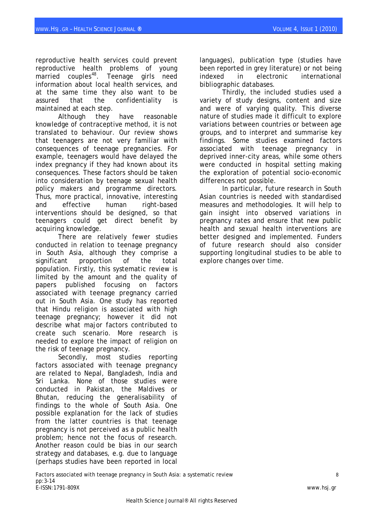reproductive health services could prevent reproductive health problems of young married couples<sup>[48](#page-11-1)</sup>. Teenage girls need information about local health services, and at the same time they also want to be assured that the confidentiality is maintained at each step.

Although they have reasonable knowledge of contraceptive method, it is not translated to behaviour. Our review shows that teenagers are not very familiar with consequences of teenage pregnancies. For example, teenagers would have delayed the index pregnancy if they had known about its consequences. These factors should be taken into consideration by teenage sexual health policy makers and programme directors. Thus, more practical, innovative, interesting and effective human right-based interventions should be designed, so that teenagers could get direct benefit by acquiring knowledge.

There are relatively fewer studies conducted in relation to teenage pregnancy in South Asia, although they comprise a significant proportion of the total population. Firstly, this systematic review is limited by the amount and the quality of papers published focusing on factors associated with teenage pregnancy carried out in South Asia. One study has reported that Hindu religion is associated with high teenage pregnancy; however it did not describe what major factors contributed to create such scenario. More research is needed to explore the impact of religion on the risk of teenage pregnancy.

Secondly, most studies reporting factors associated with teenage pregnancy are related to Nepal, Bangladesh, India and Sri Lanka. None of those studies were conducted in Pakistan, the Maldives or Bhutan, reducing the generalisability of findings to the whole of South Asia. One possible explanation for the lack of studies from the latter countries is that teenage pregnancy is not perceived as a public health problem; hence not the focus of research. Another reason could be bias in our search strategy and databases, e.g. due to language (perhaps studies have been reported in local

languages), publication type (studies have been reported in grey literature) or not being indexed in electronic international bibliographic databases.

Thirdly, the included studies used a variety of study designs, content and size and were of varying quality. This diverse nature of studies made it difficult to explore variations between countries or between age groups, and to interpret and summarise key findings. Some studies examined factors associated with teenage pregnancy in deprived inner-city areas, while some others were conducted in hospital setting making the exploration of potential socio-economic differences not possible.

In particular, future research in South Asian countries is needed with standardised measures and methodologies. It will help to gain insight into observed variations in pregnancy rates and ensure that new public health and sexual health interventions are better designed and implemented. Funders of future research should also consider supporting longitudinal studies to be able to explore changes over time.

Factors associated with teenage pregnancy in South Asia: a systematic review 8 pp:3-14 E-ISSN:1791-809X www.hsj.gr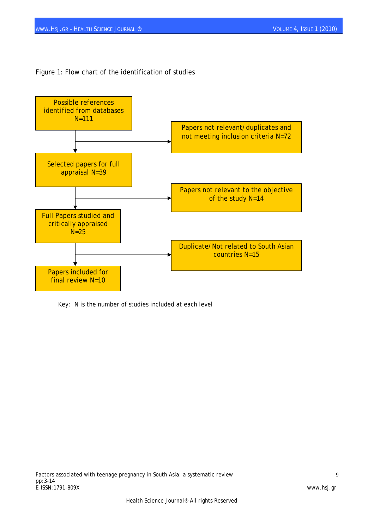## Figure 1: Flow chart of the identification of studies



Key: N is the number of studies included at each level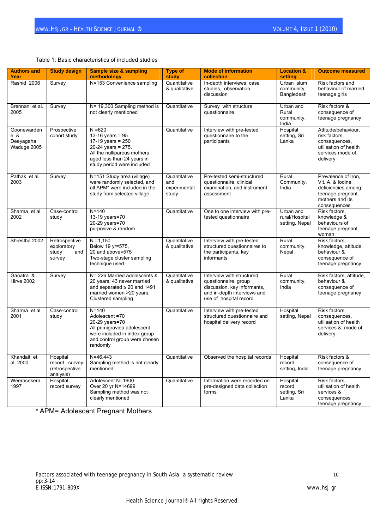## Table 1: Basic characteristics of included studies

| <b>Authors and</b><br>Year                     | <b>Study design</b>                                      | <b>Sample size &amp; sampling</b><br>methodology                                                                                                                        | <b>Type of</b><br>study                      | <b>Mode of information</b><br>collection                                                                                                  | <b>Location &amp;</b><br>setting              | <b>Outcome measured</b>                                                                                              |
|------------------------------------------------|----------------------------------------------------------|-------------------------------------------------------------------------------------------------------------------------------------------------------------------------|----------------------------------------------|-------------------------------------------------------------------------------------------------------------------------------------------|-----------------------------------------------|----------------------------------------------------------------------------------------------------------------------|
| Rashid 2006                                    | Survey                                                   | N=153 Convenience sampling                                                                                                                                              | Quantitative<br>& qualitative                | In-depth interviews, case<br>studies, observation,<br>discussion                                                                          | Urban slum<br>community,<br>Bangledesh        | Risk factors and<br>behaviour of married<br>teenage girls                                                            |
| Brennan et al.<br>2005                         | Survey                                                   | N= 19,300 Sampling method is<br>not clearly mentioned                                                                                                                   | Quantitative                                 | Survey with structure<br>questionnaire                                                                                                    | Urban and<br>Rural<br>community,<br>India     | Risk factors &<br>consequence of<br>teenage pregnancy                                                                |
| Goonewarden<br>e &<br>Deeyagaha<br>Waduge 2005 | Prospective<br>cohort study                              | $N = 620$<br>13-16 years = $95$<br>17-19 years = $250$<br>20-24 years = 275.<br>All the nulliparous mothers<br>aged less than 24 years in<br>study period were included | Quantitative                                 | Interview with pre-tested<br>questionnaire to the<br>participants                                                                         | Hospital<br>setting, Sri<br>Lanka             | Attitude/behaviour,<br>risk factors,<br>consequences.<br>utilisation of health<br>services mode of<br>delivery       |
| Pathak et al.<br>2003                          | Survey                                                   | N=151 Study area (village)<br>were randomly selected, and<br>all APM* were included in the<br>study from selected village                                               | Quantitative<br>and<br>experimental<br>study | Pre-tested semi-structured<br>questionnaire, clinical<br>examination, and instrument<br>assessment                                        | Rural<br>Community,<br>India                  | Prevalence of Iron,<br>Vit. A, & lodine<br>deficiencies among<br>teenage pregnant<br>mothers and its<br>consequences |
| Sharma et al.<br>2002                          | Case-control<br>study                                    | $N = 140$<br>13-19 years=70<br>20-29 years=70<br>purposive & random                                                                                                     | Quantitative                                 | One to one interview with pre-<br>tested questionnaire                                                                                    | Urban and<br>rural/Hospital<br>setting, Nepal | Risk factors,<br>knowledge &<br>behaviours of<br>teenage pregnant<br>woman                                           |
| Shrestha 2002                                  | Retrospective<br>exploratory<br>study<br>and<br>survey   | $N = 1,150$<br>Below 19 yr=575,<br>20 and above=575<br>Two-stage cluster sampling<br>technique used                                                                     | Quantitative<br>& qualitative                | Interview with pre-tested<br>structured questionnaires to<br>the participants, key<br>informants                                          | Rural<br>community,<br>Nepal                  | Risk factors,<br>knowledge, attitude,<br>behaviour &<br>consequence of<br>teenage pregnancy                          |
| Ganatra &<br><b>Hirve 2002</b>                 | Survey                                                   | N= 226 Married adolescents ≤<br>20 years, 43 never married<br>and separated $\leq 20$ and 1491<br>married women >20 years,<br>Clustered sampling                        | Quantitative<br>& qualitative                | Interview with structured<br>questionnaire, group<br>discussion, key informants,<br>and in-depth interviews and<br>use of hospital record | Rural<br>community,<br>India                  | Risk factors, attitude,<br>behaviour &<br>consequence of<br>teenage pregnancy                                        |
| Sharma et al.<br>2001                          | Case-control<br>study                                    | $N = 140$<br>Adolescent =70<br>20-29 years=70<br>All primigravida adolescent<br>were included in index group<br>and control group were chosen<br>randomly               | Quantitative                                 | Interview with pre-tested<br>structured questionnaire and<br>hospital delivery record                                                     | Hospital<br>setting, Nepal                    | Risk factors,<br>consequences,<br>utilisation of health<br>services & mode of<br>delivery                            |
| Khandait et<br>al. 2000                        | Hospital<br>record survey<br>(retrospective<br>analysis) | $N = 46,443$<br>Sampling method is not clearly<br>mentioned                                                                                                             | Quantitative                                 | Observed the hospital records                                                                                                             | Hospital<br>record<br>setting, India          | Risk factors &<br>consequence of<br>teenage pregnancy                                                                |
| Weerasekera<br>1997                            | Hospital<br>record survey                                | Adolescent N=1600<br>Over 20 yr N=14699<br>Sampling method was not<br>clearly mentioned                                                                                 | Quantitative                                 | Information were recorded on<br>pre-designed data collection<br>forms                                                                     | Hospital<br>record<br>setting, Sri<br>Lanka   | Risk factors,<br>utilisation of health<br>services &<br>consequences<br>teenage pregnancy                            |

\* APM= Adolescent Pregnant Mothers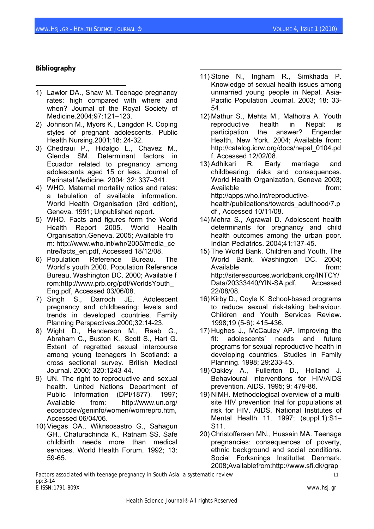# **Bibliography**

 $\overline{a}$ 

- 1) Lawlor DA., Shaw M. Teenage pregnancy rates: high compared with where and when? Journal of the Royal Society of Medicine.2004;97:121–123.
- 2) Johnson M., Myors K., Langdon R. Coping styles of pregnant adolescents. Public Health Nursing.2001;18: 24-32.
- 3) Chedraui P., Hidalgo L., Chavez M., Glenda SM. Determinant factors in Ecuador related to pregnancy among adolescents aged 15 or less. Journal of Perinatal Medicine. 2004; 32: 337–341.
- 4) WHO. Maternal mortality ratios and rates: a tabulation of available information. World Health Organisation (3rd edition), Geneva. 1991; Unpublished report.
- 5) WHO. Facts and figures form the World Health Report 2005. World Health Organisation,Geneva. 2005; Available fro m: [http://www.who.int/whr/2005/media\\_ce](http://www.who.int/whr/2005/media_centre/facts_en.pdf) [ntre/facts\\_en.pdf,](http://www.who.int/whr/2005/media_centre/facts_en.pdf) Accessed 18/12/08.
- 6) Population Reference Bureau. The World's youth 2000. Population Reference Bureau, Washington DC. 2000; Available f rom:[http://www.prb.org/pdf/WorldsYouth\\_](http://www.prb.org/pdf/WorldsYouth_Eng.pdf) [Eng.pdf,](http://www.prb.org/pdf/WorldsYouth_Eng.pdf) Accessed 03/06/08.
- 7) Singh S., Darroch JE. Adolescent pregnancy and childbearing: levels and trends in developed countries. Family Planning Perspectives.2000;32:14-23.
- 8) Wight D., Henderson M., Raab G., Abraham C., Buston K., Scott S., Hart G. Extent of regretted sexual intercourse among young teenagers in Scotland: a cross sectional survey. British Medical Journal. 2000; 320:1243-44.
- 9) UN. The right to reproductive and sexual health. United Nations Department of Public Information (DPI/1877). 1997; Available from: [http://www.un.org/](http://www.un.org/%20ecosocdev/geninfo/women/womrepro.htm)  [ecosocdev/geninfo/women/womrepro.htm](http://www.un.org/%20ecosocdev/geninfo/women/womrepro.htm), Accessed 06/04/06.
- 10) Viegas OA., Wiknsosastro G., Sahagun GH., Chaturachinda K., Ratnam SS. Safe childbirth needs more than medical services. World Health Forum. 1992; 13: 59-65.
- 11) Stone N., Ingham R., Simkhada P. Knowledge of sexual health issues among unmarried young people in Nepal. Asia-Pacific Population Journal. 2003; 18: 33- 54.
- 12) Mathur S., Mehta M., Malhotra A. Youth reproductive health in Nepal: is participation the answer? Engender Health, New York. 2004; Available from: http://catalog.icrw.org/docs/nepal\_0104.pd f, Accessed 12/02/08.
- 13) Adhikari R. Early marriage and childbearing: risks and consequences. World Health Organization, Geneva 2003; Available **from:** [http://apps.who.int/reproductive](http://apps.who.int/reproductive-health/publications/towards_adulthood/7.pdf)[health/publications/towards\\_adulthood/7.p](http://apps.who.int/reproductive-health/publications/towards_adulthood/7.pdf) [df](http://apps.who.int/reproductive-health/publications/towards_adulthood/7.pdf) , Accessed 10/11/08.
- 14) Mehra S., Agrawal D. Adolescent health determinants for pregnancy and child health outcomes among the urban poor. Indian Pediatrics. 2004;41:137-45.
- 15) The World Bank. Children and Youth. The World Bank, Washington DC. 2004; Available from: [http://siteresources.worldbank.org/INTCY/](http://siteresources.worldbank.org/INTCY/Data/20333440/YIN-SA.pdf) [Data/20333440/YIN-SA.pdf](http://siteresources.worldbank.org/INTCY/Data/20333440/YIN-SA.pdf), Accessed 22/08/08.
- 16) Kirby D., Coyle K. School-based programs to reduce sexual risk-taking behaviour. [Children and Youth Services Review](http://www.sciencedirect.com/science/journal/01907409). 1998[;19 \(5-6](http://www.sciencedirect.com/science?_ob=PublicationURL&_tockey=%23TOC%235892%231997%23999809994%2312854%23FLT%23&_cdi=5892&_pubType=J&view=c&_auth=y&_acct=C000020498&_version=1&_urlVersion=0&_userid=427455&md5=634bebcd8aa0f26c460c19d3119f4ebb)): 415-436.
- 17) Hughes J., McCauley AP. Improving the fit: adolescents' needs and future programs for sexual reproductive health in developing countries. Studies in Family Planning. 1998; 29:233-45.
- 18) Oakley A., Fullerton D., Holland J. Behavioural interventions for HIV/AIDS prevention. AIDS. 1995; 9: 479-86.
- 19) NIMH. Methodological overview of a multisite HIV prevention trial for populations at risk for HIV. AIDS, National Institutes of Mental Health 11. 1997; (suppl.1):S1– S11.
- 20) Christoffersen MN., Hussain MA. Teenage pregnancies: consequences of poverty, ethnic background and social conditions. Social Forksnings Instituttet Denmark. 2008;Availablefrom:[http://www.sfi.dk/grap](http://www.sfi.dk/graphics/SFI/Pdf/Working_papers/04%202008.pdf)

Factors associated with teenage pregnancy in South Asia: a systematic review 11 pp:3-14 E-ISSN:1791-809X www.hsj.gr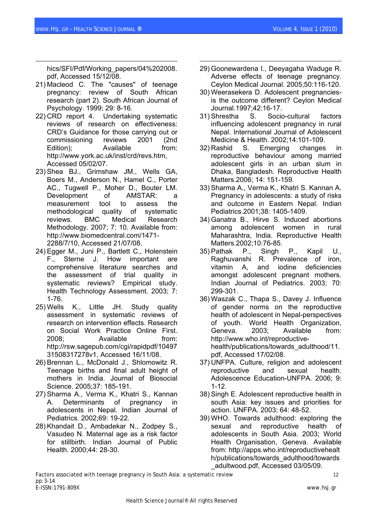[hics/SFI/Pdf/Working\\_papers/04%202008.](http://www.sfi.dk/graphics/SFI/Pdf/Working_papers/04%202008.pdf) [pdf](http://www.sfi.dk/graphics/SFI/Pdf/Working_papers/04%202008.pdf), Accessed 15/12/08.

- 21) Macleod C. [The "causes" of teenage](http://www.popline.org/docs/153510)  [pregnancy: review of South African](http://www.popline.org/docs/153510)  [research \(part 2](http://www.popline.org/docs/153510)). South African Journal of Psychology. 1999; 29: 8-16.
- 22) CRD report 4. Undertaking systematic reviews of research on effectiveness: CRD's Guidance for those carrying out or commissioning reviews 2001 (2nd Edition); Available from: http:/[/www.york.ac.uk/inst/crd/revs.htm,](http://www.york.ac.uk/inst/crd/revs.htm) Accessed 05/02/07.
- 23) Shea BJ., Grimshaw JM., Wells GA, Boers M., Anderson N., Hamel C., Porter AC., Tugwell P., Moher D., Bouter LM. Development of AMSTAR: a measurement tool to assess the methodological quality of systematic reviews. BMC Medical Research Methodology. 2007; 7: 10. Available from: [http://www.biomedcentral.com/1471-](http://www.biomedcentral.com/1471-2288/7/10) [2288/7/10,](http://www.biomedcentral.com/1471-2288/7/10) Accessed 21/07/08.
- 24) Egger M., Juni P., Bartlett C., Holenstein F., Sterne J. How important are comprehensive literature searches and the assessment of trial quality in systematic reviews? Empirical study. Health Technology Assessment. 2003; 7: 1-76.
- 25) Wells K., Little JH. Study quality assessment in systematic reviews of research on intervention effects. Research on Social Work Practice Online First. 2008; Available from: [http://rsw.sagepub.com/cgi/rapidpdf/10497](http://rsw.sagepub.com/cgi/rapidpdf/1049731508317278v1) [31508317278v1,](http://rsw.sagepub.com/cgi/rapidpdf/1049731508317278v1) Accessed 16/11/08.
- 26) Brennan L., McDonald J., Shlomowitz R. Teenage births and final adult height of mothers in India. Journal of Biosocial Science. 2005;37: 185-191.
- 27) Sharma A., Verma K., Khatri S., Kannan A. Determinants of pregnancy in adolescents in Nepal. Indian Journal of Pediatrics. 2002;69: 19-22.
- 28) Khandait D., Ambadekar N., Zodpey S., Vasudeo N. Maternal age as a risk factor for stillbirth. Indian Journal of Public Health. 2000;44: 28-30.
- 29) Goonewardena I., Deeyagaha Waduge R. Adverse effects of teenage pregnancy. Ceylon Medical Journal. 2005;50:116-120.
- 30) Weerasekera D. Adolescent pregnanciesis the outcome different? Ceylon Medical Journal.1997;42:16-17.
- 31) Shrestha S. Socio-cultural factors influencing adolescent pregnancy in rural Nepal. International Journal of Adolescent Medicine & Health. 2002;14:101-109.
- 32) Rashid S. Emerging changes in reproductive behaviour among married adolescent girls in an urban slum in Dhaka, Bangladesh. Reproductive Health Matters.2006; 14: 151-159.
- 33) Sharma A., Verma K., Khatri S. Kannan A. Pregnancy in adolescents: a study of risks and outcome in Eastern Nepal. Indian Pediatrics.2001;38: 1405-1409.
- 34) Ganatra B., Hirve S. Induced abortions among adolescent women in rural Maharashtra, India. Reproductive Health Matters.2002;10:76-85.
- 35) Pathak P., Singh P., Kapil U., Raghuvanshi R. Prevalence of iron, vitamin A, and iodine deficiencies amongst adolescent pregnant mothers. Indian Journal of Pediatrics. 2003; 70: 299-301.
- 36) Waszak C., Thapa S., Davey J. Influence of gender norms on the reproductive health of adolescent in Nepal-perspectives of youth. World Health Organization, Geneva. 2003; Available from: [http://www.who.int/reproductive](http://www.who.int/reproductive-health/publications/towards_adulthood/11.pdf)[health/publications/towards\\_adulthood/11.](http://www.who.int/reproductive-health/publications/towards_adulthood/11.pdf) [pdf](http://www.who.int/reproductive-health/publications/towards_adulthood/11.pdf), Accessed 17/02/08.
- 37) UNFPA. Culture, religion and adolescent reproductive and sexual health. Adolescence Education-UNFPA. 2006; 9: 1-12.
- 38) Singh E. Adolescent reproductive health in south Asia: key issues and priorities for action. UNFPA. 2003; 64: 48-52.
- 39) WHO. Towards adulthood: exploring the sexual and reproductive health of adolescents in South Asia. 2003; World Health Organisation, Geneva. Available from: http://apps.who.int/reproductivehealt h/publications/towards\_adulthood/towards \_adultwood.pdf, Accessed 03/05/09.

Factors associated with teenage pregnancy in South Asia: a systematic review 12 pp:3-14 E-ISSN:1791-809X www.hsj.gr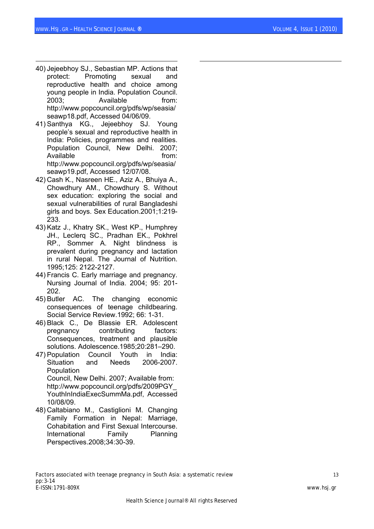- 40) Jejeebhoy SJ., Sebastian MP. Actions that protect: Promoting sexual and reproductive health and choice among young people in India. Population Council. 2003; Available from: http://www.popcouncil.org/pdfs/wp/seasia/ seawp18.pdf, Accessed 04/06/09.
- 41) Santhya KG., Jejeebhoy SJ. Young people's sexual and reproductive health in India: Policies, programmes and realities. Population Council, New Delhi. 2007; Available from: http://www.popcouncil.org/pdfs/wp/seasia/ seawp19.pdf, Accessed 12/07/08.
- 42) Cash K., Nasreen HE., Aziz A., Bhuiya A., Chowdhury AM., Chowdhury S. Without sex education: exploring the social and sexual vulnerabilities of rural Bangladeshi girls and boys. Sex Education.2001;1:219- 233.
- 43) Katz J., Khatry SK., West KP., Humphrey JH., Leclerq SC., Pradhan EK., Pokhrel RP., Sommer A. Night blindness is prevalent during pregnancy and lactation in rural Nepal. The Journal of Nutrition. 1995;125: 2122-2127.
- 44) Francis C. Early marriage and pregnancy. Nursing Journal of India. 2004; 95: 201- 202.
- 45) Butler AC. The changing economic consequences of teenage childbearing. Social Service Review.1992; 66: 1-31.
- 46) Black C., De Blassie ER. Adolescent pregnancy contributing factors: Consequences, treatment and plausible solutions. Adolescence.1985;20:281–290.
- 47) Population Council Youth in India: Situation and Needs 2006-2007. Population Council, New Delhi. 2007; Available from: [http://www.popcouncil.org/pdfs/2009PGY\\_](http://www.popcouncil.org/pdfs/2009PGY_YouthInIndiaExecSummMa.pdf) [YouthInIndiaExecSummMa.pdf](http://www.popcouncil.org/pdfs/2009PGY_YouthInIndiaExecSummMa.pdf), Accessed 10/08/09.
- 48) Caltabiano M., Castiglioni M. Changing Family Formation in Nepal: Marriage, Cohabitation and First Sexual Intercourse. International Family Planning Perspectives.2008;34:30-39.